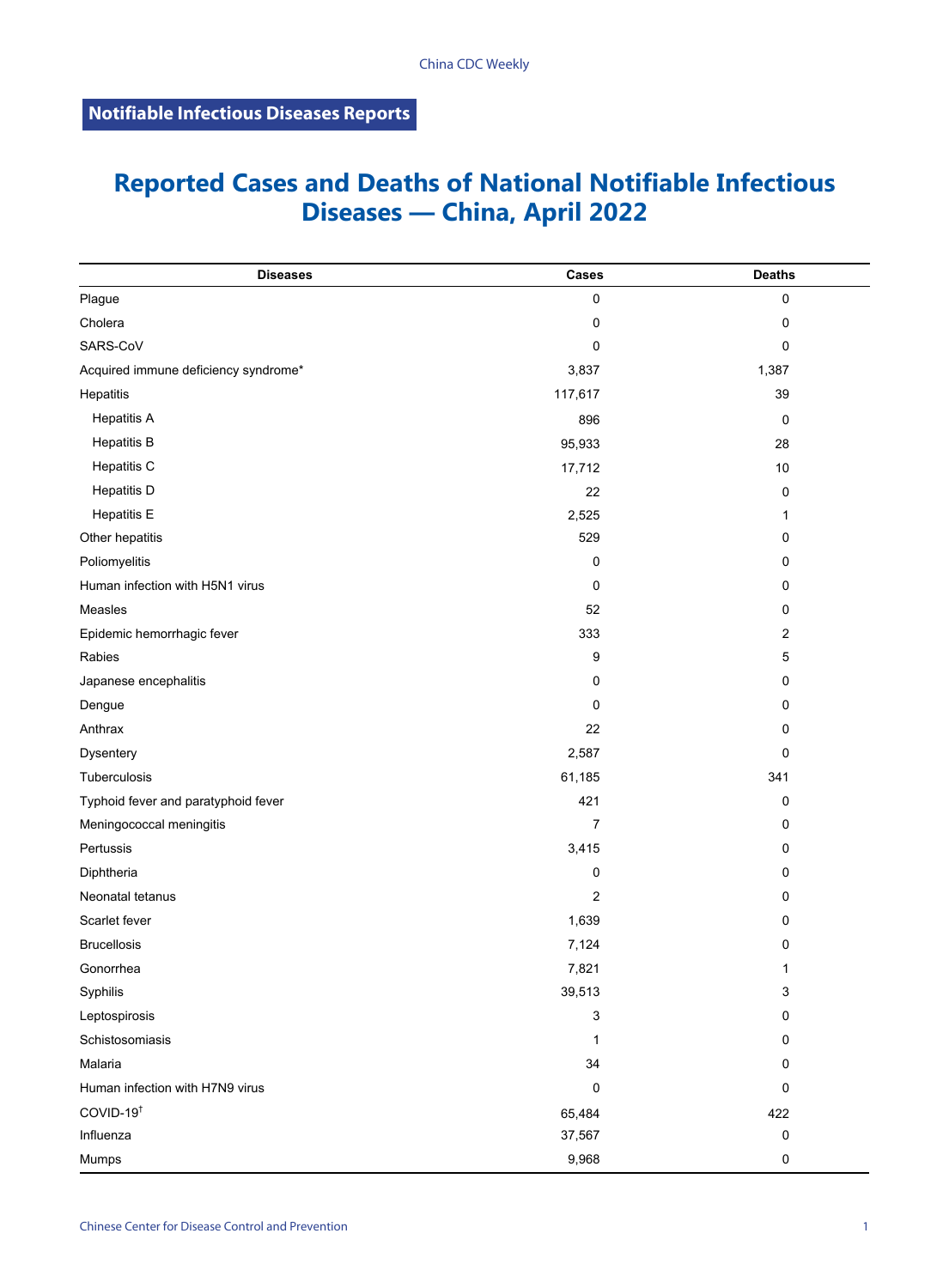## **Reported Cases and Deaths of National Notifiable Infectious Diseases — China, April 2022**

| <b>Diseases</b>                      | Cases          | <b>Deaths</b> |
|--------------------------------------|----------------|---------------|
| Plague                               | 0              | 0             |
| Cholera                              | 0              | 0             |
| SARS-CoV                             | 0              | 0             |
| Acquired immune deficiency syndrome* | 3,837          | 1,387         |
| Hepatitis                            | 117,617        | 39            |
| <b>Hepatitis A</b>                   | 896            | 0             |
| <b>Hepatitis B</b>                   | 95,933         | 28            |
| Hepatitis C                          | 17,712         | 10            |
| <b>Hepatitis D</b>                   | 22             | 0             |
| <b>Hepatitis E</b>                   | 2,525          | 1             |
| Other hepatitis                      | 529            | 0             |
| Poliomyelitis                        | $\mathbf 0$    | 0             |
| Human infection with H5N1 virus      | 0              | 0             |
| Measles                              | 52             | 0             |
| Epidemic hemorrhagic fever           | 333            | 2             |
| Rabies                               | 9              | 5             |
| Japanese encephalitis                | 0              | 0             |
| Dengue                               | 0              | 0             |
| Anthrax                              | 22             | 0             |
| Dysentery                            | 2,587          | 0             |
| Tuberculosis                         | 61,185         | 341           |
| Typhoid fever and paratyphoid fever  | 421            | 0             |
| Meningococcal meningitis             | 7              | 0             |
| Pertussis                            | 3,415          | 0             |
| Diphtheria                           | 0              | 0             |
| Neonatal tetanus                     | $\overline{c}$ | 0             |
| Scarlet fever                        | 1,639          | 0             |
| <b>Brucellosis</b>                   | 7,124          | 0             |
| Gonorrhea                            | 7,821          | 1             |
| Syphilis                             | 39,513         | 3             |
| Leptospirosis                        | 3              | 0             |
| Schistosomiasis                      | 1              | 0             |
| Malaria                              | 34             | 0             |
| Human infection with H7N9 virus      | $\Omega$       | 0             |
| COVID-19 <sup>t</sup>                | 65,484         | 422           |
| Influenza                            | 37,567         | 0             |
| Mumps                                | 9,968          | 0             |